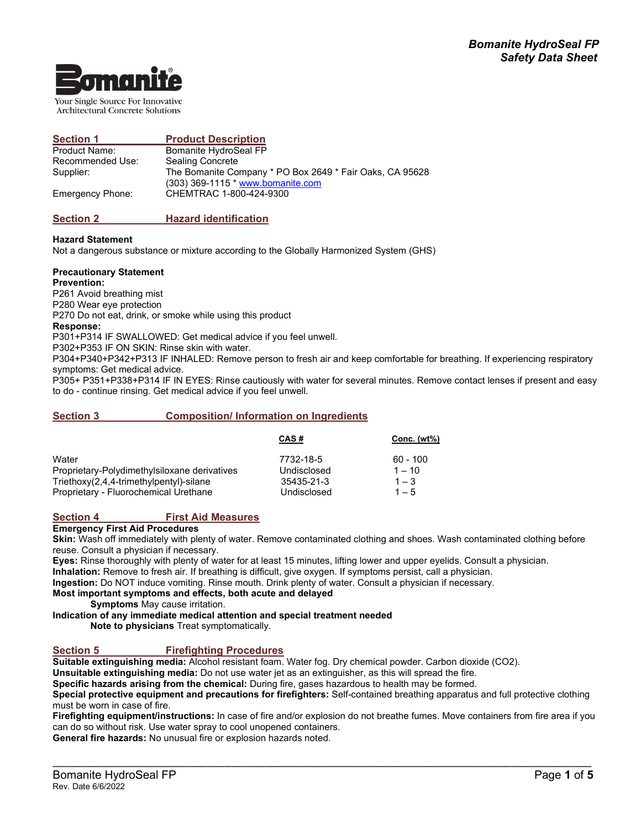

Your Single Source For Innovative **Architectural Concrete Solutions** 

| <b>Section 1</b>        | <b>Product Description</b>                                                                    |
|-------------------------|-----------------------------------------------------------------------------------------------|
| <b>Product Name:</b>    | Bomanite HydroSeal FP                                                                         |
| Recommended Use:        | Sealing Concrete                                                                              |
| Supplier:               | The Bomanite Company * PO Box 2649 * Fair Oaks, CA 95628<br>(303) 369-1115 * www.bomanite.com |
| <b>Emergency Phone:</b> | CHEMTRAC 1-800-424-9300                                                                       |

# **Section 2 Hazard identification**

## **Hazard Statement**

Not a dangerous substance or mixture according to the Globally Harmonized System (GHS)

#### **Precautionary Statement**

**Prevention:**

P261 Avoid breathing mist

P280 Wear eye protection

P270 Do not eat, drink, or smoke while using this product

## **Response:**

P301+P314 IF SWALLOWED: Get medical advice if you feel unwell.

P302+P353 IF ON SKIN: Rinse skin with water.

P304+P340+P342+P313 IF INHALED: Remove person to fresh air and keep comfortable for breathing. If experiencing respiratory symptoms: Get medical advice.

P305+ P351+P338+P314 IF IN EYES: Rinse cautiously with water for several minutes. Remove contact lenses if present and easy to do - continue rinsing. Get medical advice if you feel unwell.

## **Section 3 Composition/ Information on Ingredients**

|                                              | CAS#        | Conc. (wt%) |
|----------------------------------------------|-------------|-------------|
| Water                                        | 7732-18-5   | $60 - 100$  |
| Proprietary-Polydimethylsiloxane derivatives | Undisclosed | $1 - 10$    |
| Triethoxy(2,4,4-trimethylpentyl)-silane      | 35435-21-3  | $1 - 3$     |
| Proprietary - Fluorochemical Urethane        | Undisclosed | $1 - 5$     |

# **Section 4 First Aid Measures**

## **Emergency First Aid Procedures**

**Skin:** Wash off immediately with plenty of water. Remove contaminated clothing and shoes. Wash contaminated clothing before reuse. Consult a physician if necessary.

**Eyes:** Rinse thoroughly with plenty of water for at least 15 minutes, lifting lower and upper eyelids. Consult a physician. **Inhalation:** Remove to fresh air. If breathing is difficult, give oxygen. If symptoms persist, call a physician.

**Ingestion:** Do NOT induce vomiting. Rinse mouth. Drink plenty of water. Consult a physician if necessary.

## **Most important symptoms and effects, both acute and delayed**

**Symptoms** May cause irritation.

**Indication of any immediate medical attention and special treatment needed**

**Note to physicians** Treat symptomatically.

# **Section 5 Firefighting Procedures**

**Suitable extinguishing media:** Alcohol resistant foam. Water fog. Dry chemical powder. Carbon dioxide (CO2).

**Unsuitable extinguishing media:** Do not use water jet as an extinguisher, as this will spread the fire.

**Specific hazards arising from the chemical:** During fire, gases hazardous to health may be formed.

**Special protective equipment and precautions for firefighters:** Self-contained breathing apparatus and full protective clothing must be worn in case of fire.

**Firefighting equipment/instructions:** In case of fire and/or explosion do not breathe fumes. Move containers from fire area if you can do so without risk. Use water spray to cool unopened containers.

\_\_\_\_\_\_\_\_\_\_\_\_\_\_\_\_\_\_\_\_\_\_\_\_\_\_\_\_\_\_\_\_\_\_\_\_\_\_\_\_\_\_\_\_\_\_\_\_\_\_\_\_\_\_\_\_\_\_\_\_\_\_\_\_\_\_\_\_\_\_\_\_\_\_\_\_\_\_\_\_\_\_\_\_\_\_\_\_\_\_\_\_\_\_

**General fire hazards:** No unusual fire or explosion hazards noted.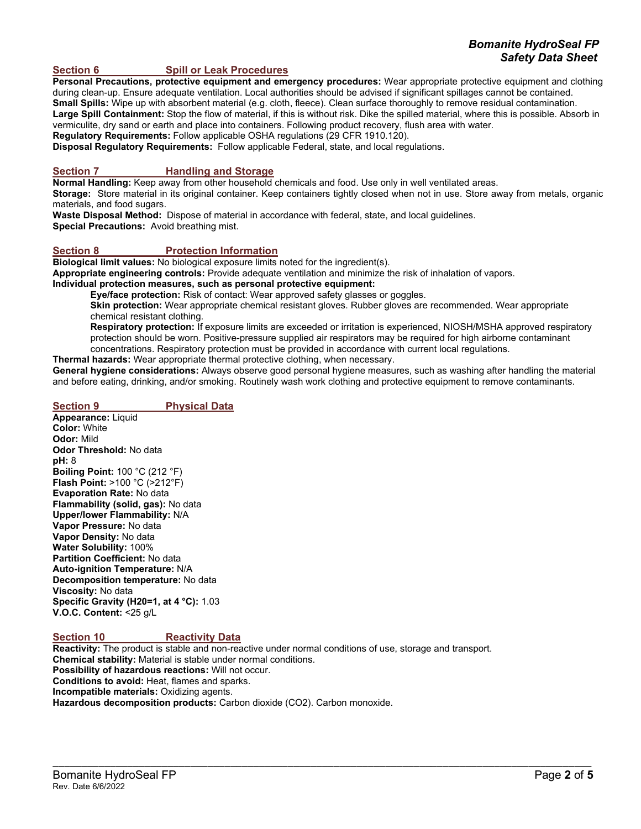# *Bomanite HydroSeal FP Safety Data Sheet*

#### **Section 6 Spill or Leak Procedures**

**Personal Precautions, protective equipment and emergency procedures:** Wear appropriate protective equipment and clothing during clean-up. Ensure adequate ventilation. Local authorities should be advised if significant spillages cannot be contained. **Small Spills:** Wipe up with absorbent material (e.g. cloth, fleece). Clean surface thoroughly to remove residual contamination. **Large Spill Containment:** Stop the flow of material, if this is without risk. Dike the spilled material, where this is possible. Absorb in

vermiculite, dry sand or earth and place into containers. Following product recovery, flush area with water.

**Regulatory Requirements:** Follow applicable OSHA regulations (29 CFR 1910.120).

**Disposal Regulatory Requirements:** Follow applicable Federal, state, and local regulations.

## **Section 7 Handling and Storage**

**Normal Handling:** Keep away from other household chemicals and food. Use only in well ventilated areas.

**Storage:** Store material in its original container. Keep containers tightly closed when not in use. Store away from metals, organic materials, and food sugars.

**Waste Disposal Method:** Dispose of material in accordance with federal, state, and local guidelines. **Special Precautions:** Avoid breathing mist.

## **Section 8 Protection Information**

**Biological limit values:** No biological exposure limits noted for the ingredient(s).

**Appropriate engineering controls:** Provide adequate ventilation and minimize the risk of inhalation of vapors.

**Individual protection measures, such as personal protective equipment:**

**Eye/face protection:** Risk of contact: Wear approved safety glasses or goggles.

**Skin protection:** Wear appropriate chemical resistant gloves. Rubber gloves are recommended. Wear appropriate chemical resistant clothing.

**Respiratory protection:** If exposure limits are exceeded or irritation is experienced, NIOSH/MSHA approved respiratory protection should be worn. Positive-pressure supplied air respirators may be required for high airborne contaminant concentrations. Respiratory protection must be provided in accordance with current local regulations.

**Thermal hazards:** Wear appropriate thermal protective clothing, when necessary.

**General hygiene considerations:** Always observe good personal hygiene measures, such as washing after handling the material and before eating, drinking, and/or smoking. Routinely wash work clothing and protective equipment to remove contaminants.

#### **Section 9 Physical Data**

**Appearance:** Liquid **Color:** White **Odor:** Mild **Odor Threshold:** No data **pH:** 8 **Boiling Point:** 100 °C (212 °F) **Flash Point:** >100 °C (>212°F) **Evaporation Rate:** No data **Flammability (solid, gas):** No data **Upper/lower Flammability:** N/A **Vapor Pressure:** No data **Vapor Density:** No data **Water Solubility:** 100% **Partition Coefficient:** No data **Auto-ignition Temperature:** N/A **Decomposition temperature:** No data **Viscosity:** No data **Specific Gravity (H20=1, at 4 °C):** 1.03 **V.O.C. Content:** <25 g/L

#### **Section 10 Reactivity Data**

**Reactivity:** The product is stable and non-reactive under normal conditions of use, storage and transport. **Chemical stability:** Material is stable under normal conditions. **Possibility of hazardous reactions:** Will not occur. **Conditions to avoid:** Heat, flames and sparks. **Incompatible materials:** Oxidizing agents. **Hazardous decomposition products:** Carbon dioxide (CO2). Carbon monoxide.

\_\_\_\_\_\_\_\_\_\_\_\_\_\_\_\_\_\_\_\_\_\_\_\_\_\_\_\_\_\_\_\_\_\_\_\_\_\_\_\_\_\_\_\_\_\_\_\_\_\_\_\_\_\_\_\_\_\_\_\_\_\_\_\_\_\_\_\_\_\_\_\_\_\_\_\_\_\_\_\_\_\_\_\_\_\_\_\_\_\_\_\_\_\_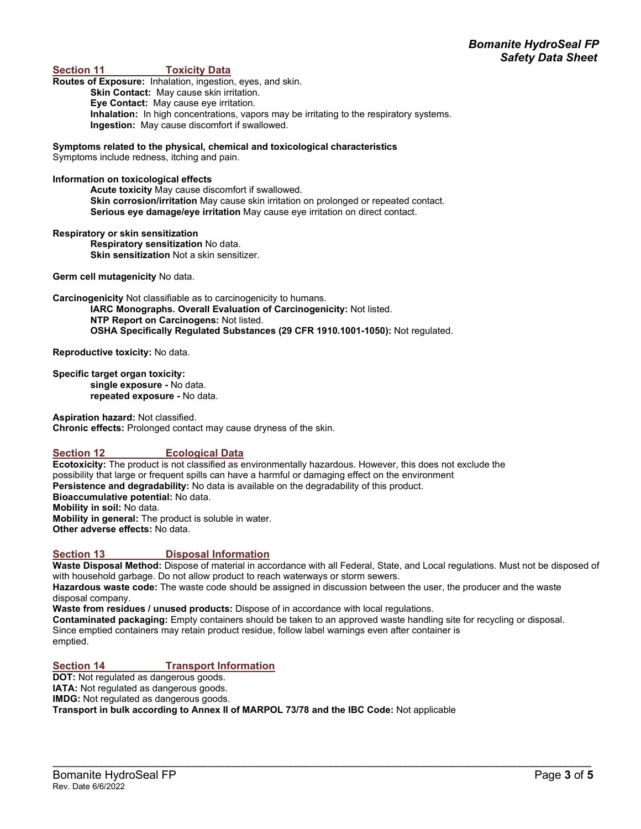## **Toxicity Data**

**Routes of Exposure:** Inhalation, ingestion, eyes, and skin. **Skin Contact:** May cause skin irritation. **Eye Contact:** May cause eye irritation. **Inhalation:** In high concentrations, vapors may be irritating to the respiratory systems. **Ingestion:** May cause discomfort if swallowed.

**Symptoms related to the physical, chemical and toxicological characteristics** Symptoms include redness, itching and pain.

#### **Information on toxicological effects**

**Acute toxicity** May cause discomfort if swallowed. **Skin corrosion/irritation** May cause skin irritation on prolonged or repeated contact. **Serious eye damage/eye irritation** May cause eye irritation on direct contact.

#### **Respiratory or skin sensitization**

**Respiratory sensitization** No data. **Skin sensitization** Not a skin sensitizer.

**Germ cell mutagenicity** No data.

**Carcinogenicity** Not classifiable as to carcinogenicity to humans.

**IARC Monographs. Overall Evaluation of Carcinogenicity:** Not listed. **NTP Report on Carcinogens:** Not listed. **OSHA Specifically Regulated Substances (29 CFR 1910.1001-1050):** Not regulated.

**Reproductive toxicity:** No data.

**Specific target organ toxicity: single exposure -** No data. **repeated exposure -** No data.

**Aspiration hazard:** Not classified. **Chronic effects:** Prolonged contact may cause dryness of the skin.

## **Section 12 Ecological Data**

**Ecotoxicity:** The product is not classified as environmentally hazardous. However, this does not exclude the possibility that large or frequent spills can have a harmful or damaging effect on the environment **Persistence and degradability:** No data is available on the degradability of this product. **Bioaccumulative potential:** No data. **Mobility in soil:** No data. **Mobility in general:** The product is soluble in water. **Other adverse effects:** No data.

#### **Section 13 Disposal Information**

**Waste Disposal Method:** Dispose of material in accordance with all Federal, State, and Local regulations. Must not be disposed of with household garbage. Do not allow product to reach waterways or storm sewers.

**Hazardous waste code:** The waste code should be assigned in discussion between the user, the producer and the waste disposal company.

**Waste from residues / unused products:** Dispose of in accordance with local regulations.

**Contaminated packaging:** Empty containers should be taken to an approved waste handling site for recycling or disposal. Since emptied containers may retain product residue, follow label warnings even after container is emptied.

\_\_\_\_\_\_\_\_\_\_\_\_\_\_\_\_\_\_\_\_\_\_\_\_\_\_\_\_\_\_\_\_\_\_\_\_\_\_\_\_\_\_\_\_\_\_\_\_\_\_\_\_\_\_\_\_\_\_\_\_\_\_\_\_\_\_\_\_\_\_\_\_\_\_\_\_\_\_\_\_\_\_\_\_\_\_\_\_\_\_\_\_\_\_

## **Section 14 Transport Information**

**DOT:** Not regulated as dangerous goods.

**IATA:** Not regulated as dangerous goods.

**IMDG:** Not regulated as dangerous goods.

**Transport in bulk according to Annex II of MARPOL 73/78 and the IBC Code:** Not applicable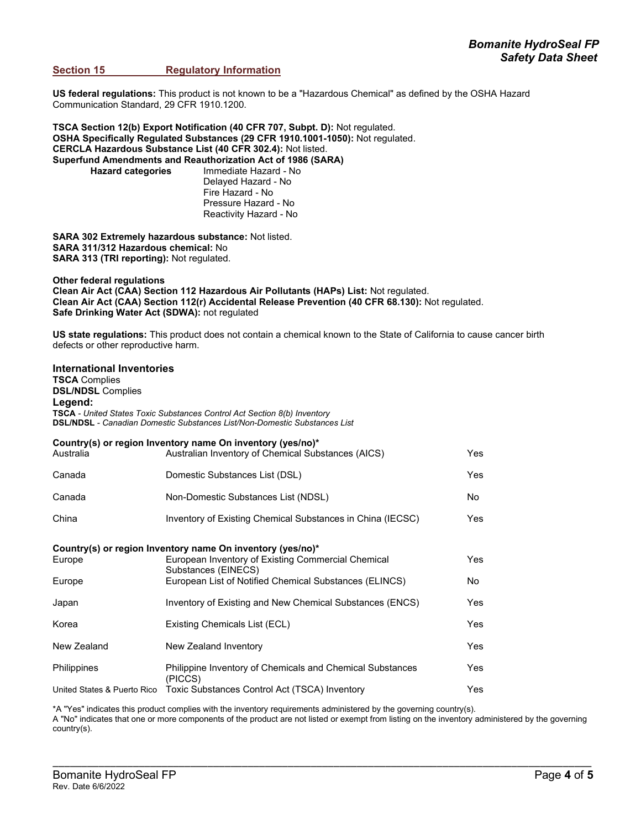## **Safety Data Sheet**<br>Section 15 **Section 15** Regulatory Information **Regulatory Information**

**US federal regulations:** This product is not known to be a "Hazardous Chemical" as defined by the OSHA Hazard Communication Standard, 29 CFR 1910.1200.

**TSCA Section 12(b) Export Notification (40 CFR 707, Subpt. D):** Not regulated. **OSHA Specifically Regulated Substances (29 CFR 1910.1001-1050):** Not regulated. **CERCLA Hazardous Substance List (40 CFR 302.4):** Not listed. **Superfund Amendments and Reauthorization Act of 1986 (SARA) Hazard categories** Immediate Hazard - No Delayed Hazard - No Fire Hazard - No Pressure Hazard - No

Reactivity Hazard - No

**SARA 302 Extremely hazardous substance:** Not listed. **SARA 311/312 Hazardous chemical:** No **SARA 313 (TRI reporting):** Not regulated.

**Other federal regulations Clean Air Act (CAA) Section 112 Hazardous Air Pollutants (HAPs) List:** Not regulated. **Clean Air Act (CAA) Section 112(r) Accidental Release Prevention (40 CFR 68.130):** Not regulated. **Safe Drinking Water Act (SDWA):** not regulated

**US state regulations:** This product does not contain a chemical known to the State of California to cause cancer birth defects or other reproductive harm.

#### **International Inventories**

**TSCA** Complies **DSL/NDSL** Complies **Legend: TSCA** *- United States Toxic Substances Control Act Section 8(b) Inventory* **DSL/NDSL** *- Canadian Domestic Substances List/Non-Domestic Substances List*

| Australia                                                  | Country(s) or region Inventory name On inventory (yes/no)*<br>Australian Inventory of Chemical Substances (AICS) | Yes  |  |  |
|------------------------------------------------------------|------------------------------------------------------------------------------------------------------------------|------|--|--|
| Canada                                                     | Domestic Substances List (DSL)                                                                                   | Yes  |  |  |
| Canada                                                     | Non-Domestic Substances List (NDSL)                                                                              | No   |  |  |
| China                                                      | Inventory of Existing Chemical Substances in China (IECSC)                                                       | Yes  |  |  |
| Country(s) or region Inventory name On inventory (yes/no)* |                                                                                                                  |      |  |  |
| Europe                                                     | European Inventory of Existing Commercial Chemical<br>Substances (EINECS)                                        | Yes  |  |  |
| Europe                                                     | European List of Notified Chemical Substances (ELINCS)                                                           | No   |  |  |
| Japan                                                      | Inventory of Existing and New Chemical Substances (ENCS)                                                         | Yes  |  |  |
| Korea                                                      | Existing Chemicals List (ECL)                                                                                    | Yes  |  |  |
| New Zealand                                                | New Zealand Inventory                                                                                            | Yes  |  |  |
| <b>Philippines</b>                                         | Philippine Inventory of Chemicals and Chemical Substances<br>(PICCS)                                             | Yes. |  |  |
| United States & Puerto Rico                                | Toxic Substances Control Act (TSCA) Inventory                                                                    | Yes  |  |  |

\*A "Yes" indicates this product complies with the inventory requirements administered by the governing country(s). A "No" indicates that one or more components of the product are not listed or exempt from listing on the inventory administered by the governing country(s).

\_\_\_\_\_\_\_\_\_\_\_\_\_\_\_\_\_\_\_\_\_\_\_\_\_\_\_\_\_\_\_\_\_\_\_\_\_\_\_\_\_\_\_\_\_\_\_\_\_\_\_\_\_\_\_\_\_\_\_\_\_\_\_\_\_\_\_\_\_\_\_\_\_\_\_\_\_\_\_\_\_\_\_\_\_\_\_\_\_\_\_\_\_\_